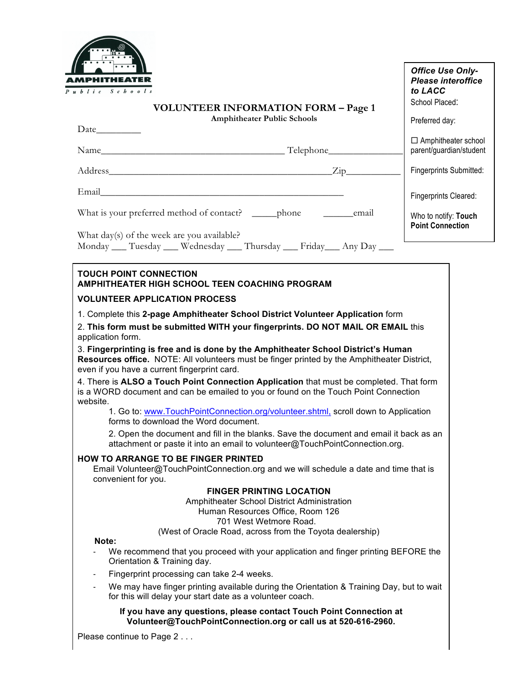

| ublic Schools                                                                                                                                                                                                                                                                                                                             | <b>Office Use Only-</b><br><b>Please interoffice</b><br>to LACC |
|-------------------------------------------------------------------------------------------------------------------------------------------------------------------------------------------------------------------------------------------------------------------------------------------------------------------------------------------|-----------------------------------------------------------------|
| <b>VOLUNTEER INFORMATION FORM - Page 1</b>                                                                                                                                                                                                                                                                                                | School Placed:                                                  |
| <b>Amphitheater Public Schools</b>                                                                                                                                                                                                                                                                                                        | Preferred day:                                                  |
|                                                                                                                                                                                                                                                                                                                                           | $\Box$ Amphitheater school<br>parent/guardian/student           |
|                                                                                                                                                                                                                                                                                                                                           | Fingerprints Submitted:                                         |
|                                                                                                                                                                                                                                                                                                                                           | Fingerprints Cleared:                                           |
|                                                                                                                                                                                                                                                                                                                                           | Who to notify: Touch<br><b>Point Connection</b>                 |
| What day(s) of the week are you available?<br>Monday ___ Tuesday ___ Wednesday ___ Thursday ___ Friday ___ Any Day ___                                                                                                                                                                                                                    |                                                                 |
| <b>TOUCH POINT CONNECTION</b><br>AMPHITHEATER HIGH SCHOOL TEEN COACHING PROGRAM                                                                                                                                                                                                                                                           |                                                                 |
| <b>VOLUNTEER APPLICATION PROCESS</b>                                                                                                                                                                                                                                                                                                      |                                                                 |
| 2. This form must be submitted WITH your fingerprints. DO NOT MAIL OR EMAIL this<br>application form.<br>3. Fingerprinting is free and is done by the Amphitheater School District's Human<br>Resources office. NOTE: All volunteers must be finger printed by the Amphitheater District,<br>even if you have a current fingerprint card. |                                                                 |
| 4. There is ALSO a Touch Point Connection Application that must be completed. That form<br>is a WORD document and can be emailed to you or found on the Touch Point Connection<br>website.<br>1. Go to: www.TouchPointConnection.org/volunteer.shtml, scroll down to Application                                                          |                                                                 |
| forms to download the Word document.                                                                                                                                                                                                                                                                                                      |                                                                 |
| 2. Open the document and fill in the blanks. Save the document and email it back as an<br>attachment or paste it into an email to volunteer@TouchPointConnection.org.                                                                                                                                                                     |                                                                 |
| <b>HOW TO ARRANGE TO BE FINGER PRINTED</b><br>Email Volunteer@TouchPointConnection.org and we will schedule a date and time that is<br>convenient for you.                                                                                                                                                                                |                                                                 |
| <b>FINGER PRINTING LOCATION</b><br>Amphitheater School District Administration<br>Human Resources Office, Room 126<br>701 West Wetmore Road.<br>(West of Oracle Road, across from the Toyota dealership)                                                                                                                                  |                                                                 |
| Note:<br>We recommend that you proceed with your application and finger printing BEFORE the<br>Orientation & Training day.                                                                                                                                                                                                                |                                                                 |
| Fingerprint processing can take 2-4 weeks.<br>$\overline{\phantom{a}}$                                                                                                                                                                                                                                                                    |                                                                 |
| We may have finger printing available during the Orientation & Training Day, but to wait<br>for this will delay your start date as a volunteer coach.                                                                                                                                                                                     |                                                                 |
| If you have any questions, please contact Touch Point Connection at<br>Volunteer@TouchPointConnection.org or call us at 520-616-2960.                                                                                                                                                                                                     |                                                                 |
| Please continue to Page 2                                                                                                                                                                                                                                                                                                                 |                                                                 |